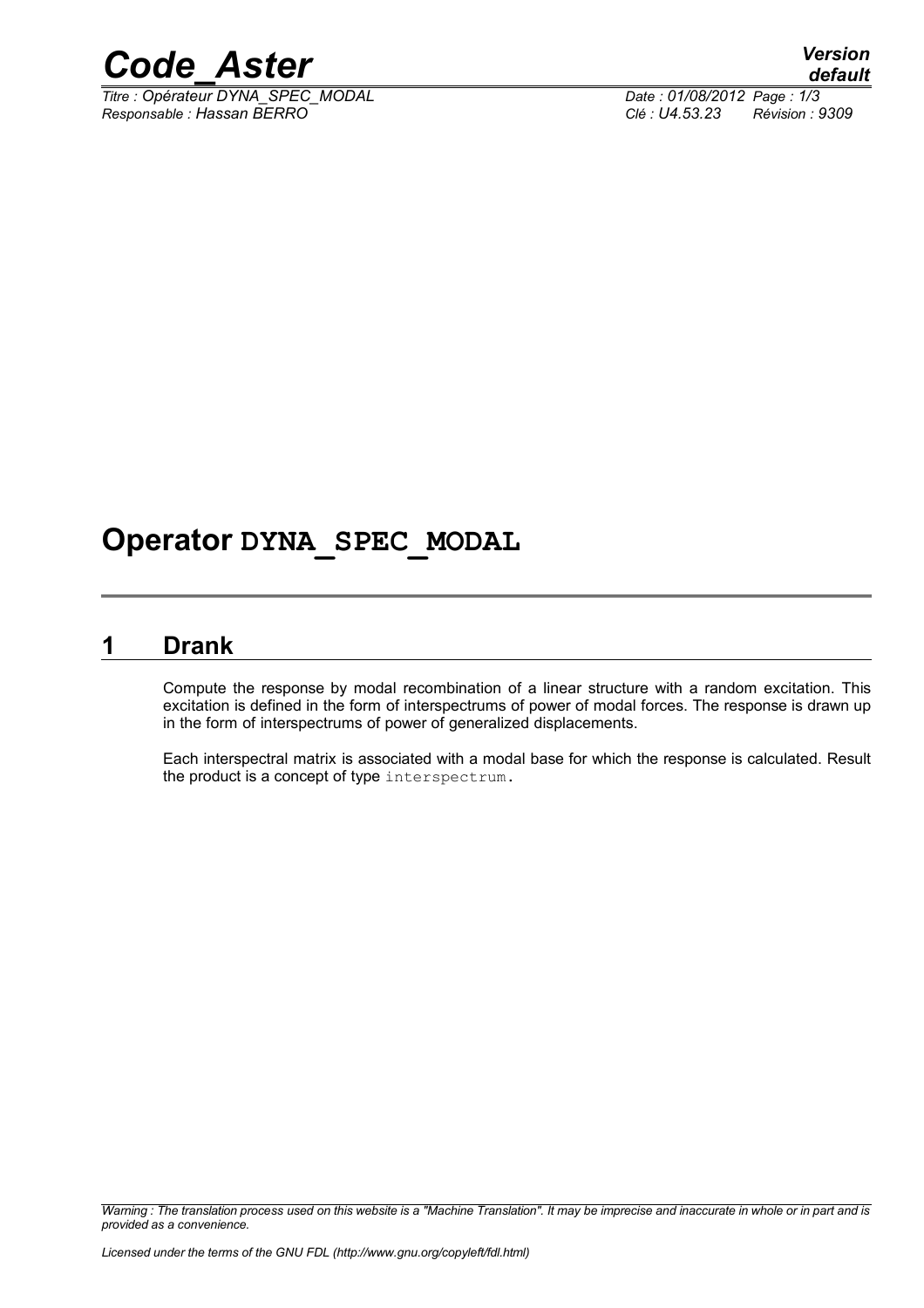

*Titre : Opérateur DYNA\_SPEC\_MODAL Date : 01/08/2012 Page : 1/3 Responsable : Hassan BERRO Clé : U4.53.23 Révision : 9309*

## **Operator DYNA\_SPEC\_MODAL**

#### **1 Drank**

Compute the response by modal recombination of a linear structure with a random excitation. This excitation is defined in the form of interspectrums of power of modal forces. The response is drawn up in the form of interspectrums of power of generalized displacements.

Each interspectral matrix is associated with a modal base for which the response is calculated. Result the product is a concept of type interspectrum.

*Warning : The translation process used on this website is a "Machine Translation". It may be imprecise and inaccurate in whole or in part and is provided as a convenience.*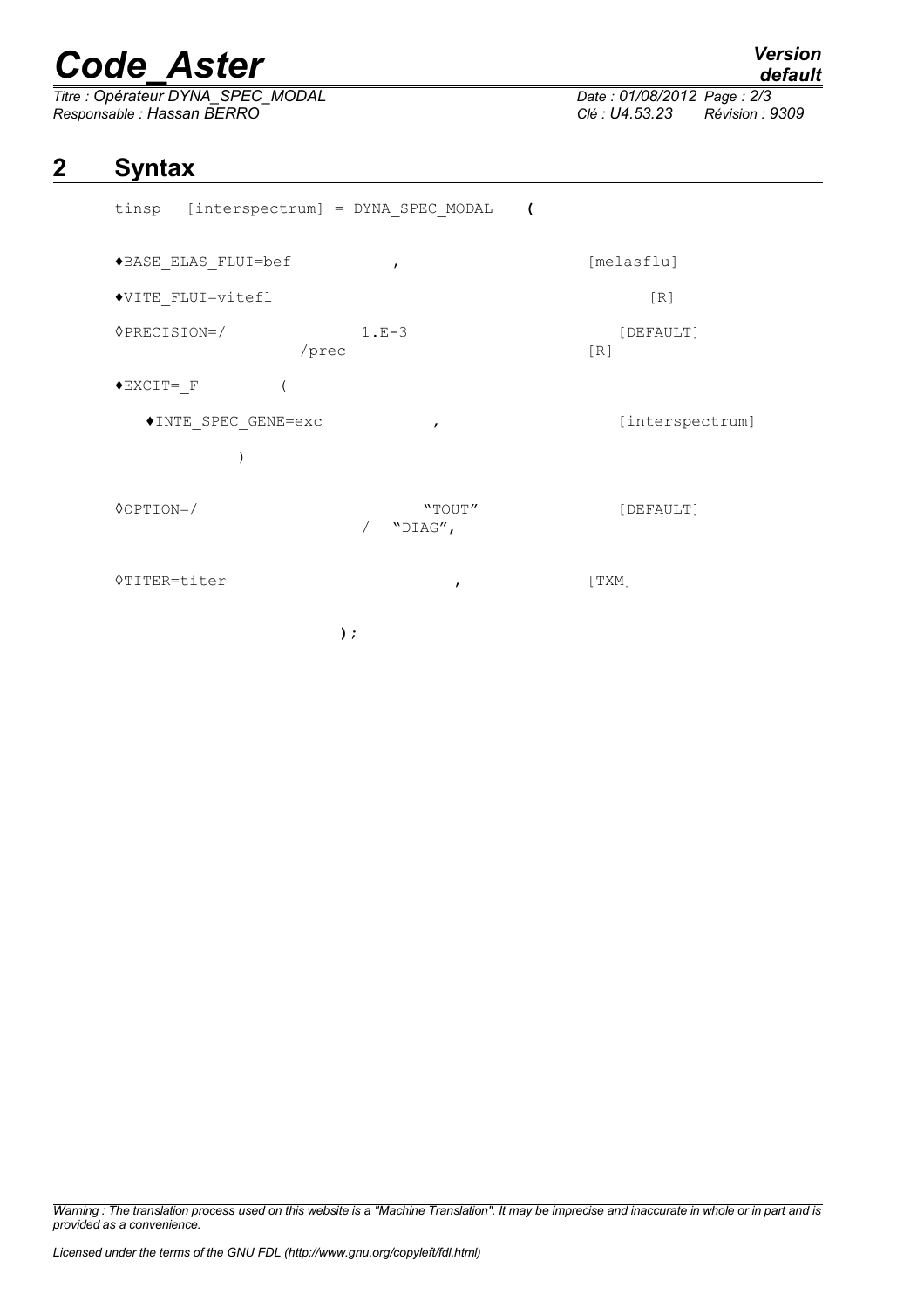# *Code\_Aster Version*

*Titre : Opérateur DYNA\_SPEC\_MODAL Date : 01/08/2012 Page : 2/3 Responsable : Hassan BERRO Clé : U4.53.23 Révision : 9309*

# *default*

### **2 Syntax**

| tinsp [interspectrum] = DYNA SPEC MODAL ( |                   |                  |
|-------------------------------------------|-------------------|------------------|
| ◆BASE ELAS FLUI=bef                       | $\mathbf{r}$      | [melasflu]       |
| ◆VITE FLUI=vitefl                         |                   | [R]              |
| $\Diamond$ PRECISION=/<br>/prec           | $1.E-3$           | [DEFAULT]<br>[R] |
| $\blacklozenge$ EXCIT= F                  |                   |                  |
| ◆INTE SPEC GENE=exc                       | $\mathbf{r}$      | [interspectrum]  |
|                                           |                   |                  |
| $\Diamond$ OPTION=/                       | "TOUT"<br>"DIAG", | [DEFAULT]        |
| <b>◊TITER=titer</b>                       | $\mathbf{r}$      | [TXM]            |
|                                           | );                |                  |

*Warning : The translation process used on this website is a "Machine Translation". It may be imprecise and inaccurate in whole or in part and is provided as a convenience.*